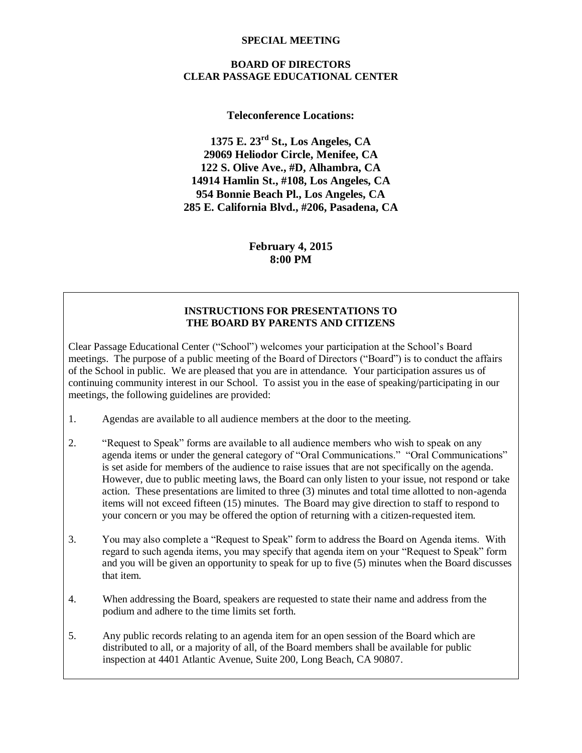#### **SPECIAL MEETING**

### **BOARD OF DIRECTORS CLEAR PASSAGE EDUCATIONAL CENTER**

### **Teleconference Locations:**

**1375 E. 23rd St., Los Angeles, CA 29069 Heliodor Circle, Menifee, CA 122 S. Olive Ave., #D, Alhambra, CA 14914 Hamlin St., #108, Los Angeles, CA 954 Bonnie Beach Pl., Los Angeles, CA 285 E. California Blvd., #206, Pasadena, CA**

> **February 4, 2015 8:00 PM**

### **INSTRUCTIONS FOR PRESENTATIONS TO THE BOARD BY PARENTS AND CITIZENS**

Clear Passage Educational Center ("School") welcomes your participation at the School's Board meetings. The purpose of a public meeting of the Board of Directors ("Board") is to conduct the affairs of the School in public. We are pleased that you are in attendance. Your participation assures us of continuing community interest in our School. To assist you in the ease of speaking/participating in our meetings, the following guidelines are provided:

- 1. Agendas are available to all audience members at the door to the meeting.
- 2. "Request to Speak" forms are available to all audience members who wish to speak on any agenda items or under the general category of "Oral Communications." "Oral Communications" is set aside for members of the audience to raise issues that are not specifically on the agenda. However, due to public meeting laws, the Board can only listen to your issue, not respond or take action. These presentations are limited to three (3) minutes and total time allotted to non-agenda items will not exceed fifteen (15) minutes. The Board may give direction to staff to respond to your concern or you may be offered the option of returning with a citizen-requested item.
- 3. You may also complete a "Request to Speak" form to address the Board on Agenda items. With regard to such agenda items, you may specify that agenda item on your "Request to Speak" form and you will be given an opportunity to speak for up to five (5) minutes when the Board discusses that item.
- 4. When addressing the Board, speakers are requested to state their name and address from the podium and adhere to the time limits set forth.
- 5. Any public records relating to an agenda item for an open session of the Board which are distributed to all, or a majority of all, of the Board members shall be available for public inspection at 4401 Atlantic Avenue, Suite 200, Long Beach, CA 90807.